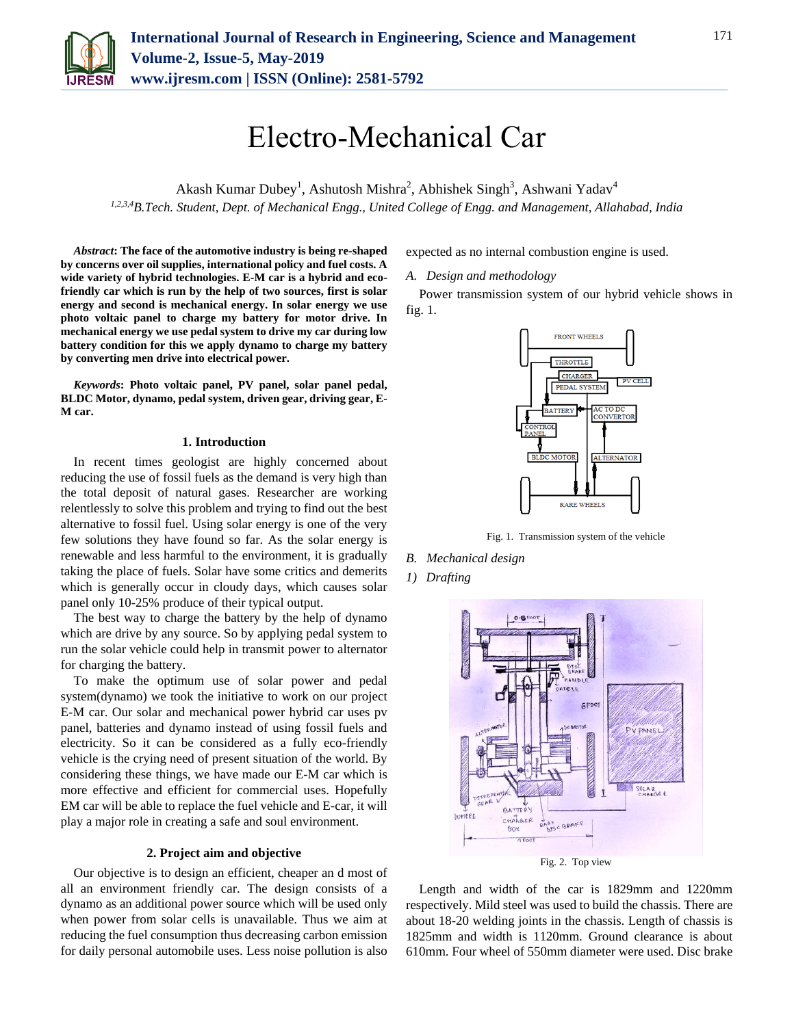

# Electro-Mechanical Car

Akash Kumar Dubey<sup>1</sup>, Ashutosh Mishra<sup>2</sup>, Abhishek Singh<sup>3</sup>, Ashwani Yadav<sup>4</sup> *1,2,3,4B.Tech. Student, Dept. of Mechanical Engg., United College of Engg. and Management, Allahabad, India*

*Abstract***: The face of the automotive industry is being re-shaped by concerns over oil supplies, international policy and fuel costs. A wide variety of hybrid technologies. E-M car is a hybrid and ecofriendly car which is run by the help of two sources, first is solar energy and second is mechanical energy. In solar energy we use photo voltaic panel to charge my battery for motor drive. In mechanical energy we use pedal system to drive my car during low battery condition for this we apply dynamo to charge my battery by converting men drive into electrical power.**

*Keywords***: Photo voltaic panel, PV panel, solar panel pedal, BLDC Motor, dynamo, pedal system, driven gear, driving gear, E-M car.**

#### **1. Introduction**

In recent times geologist are highly concerned about reducing the use of fossil fuels as the demand is very high than the total deposit of natural gases. Researcher are working relentlessly to solve this problem and trying to find out the best alternative to fossil fuel. Using solar energy is one of the very few solutions they have found so far. As the solar energy is renewable and less harmful to the environment, it is gradually taking the place of fuels. Solar have some critics and demerits which is generally occur in cloudy days, which causes solar panel only 10-25% produce of their typical output.

The best way to charge the battery by the help of dynamo which are drive by any source. So by applying pedal system to run the solar vehicle could help in transmit power to alternator for charging the battery.

To make the optimum use of solar power and pedal system(dynamo) we took the initiative to work on our project E-M car. Our solar and mechanical power hybrid car uses pv panel, batteries and dynamo instead of using fossil fuels and electricity. So it can be considered as a fully eco-friendly vehicle is the crying need of present situation of the world. By considering these things, we have made our E-M car which is more effective and efficient for commercial uses. Hopefully EM car will be able to replace the fuel vehicle and E-car, it will play a major role in creating a safe and soul environment.

## **2. Project aim and objective**

Our objective is to design an efficient, cheaper an d most of all an environment friendly car. The design consists of a dynamo as an additional power source which will be used only when power from solar cells is unavailable. Thus we aim at reducing the fuel consumption thus decreasing carbon emission for daily personal automobile uses. Less noise pollution is also

expected as no internal combustion engine is used.

*A. Design and methodology*

Power transmission system of our hybrid vehicle shows in fig. 1.



Fig. 1. Transmission system of the vehicle

*B. Mechanical design*

*1) Drafting*



Length and width of the car is 1829mm and 1220mm respectively. Mild steel was used to build the chassis. There are about 18-20 welding joints in the chassis. Length of chassis is 1825mm and width is 1120mm. Ground clearance is about 610mm. Four wheel of 550mm diameter were used. Disc brake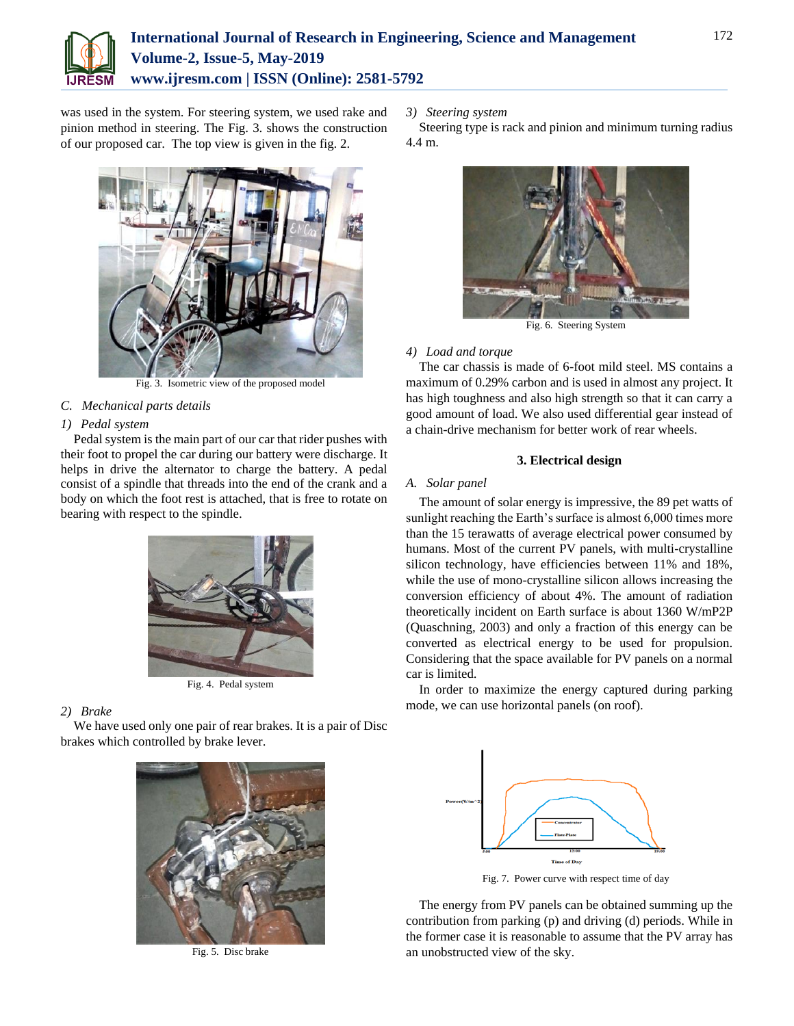

## **International Journal of Research in Engineering, Science and Management Volume-2, Issue-5, May-2019 www.ijresm.com | ISSN (Online): 2581-5792**

was used in the system. For steering system, we used rake and pinion method in steering. The Fig. 3. shows the construction of our proposed car. The top view is given in the fig. 2.



Fig. 3. Isometric view of the proposed model

## *C. Mechanical parts details*

## *1) Pedal system*

Pedal system is the main part of our car that rider pushes with their foot to propel the car during our battery were discharge. It helps in drive the alternator to charge the battery. A pedal consist of a spindle that threads into the end of the crank and a body on which the foot rest is attached, that is free to rotate on bearing with respect to the spindle.



Fig. 4. Pedal system

## *2) Brake*

We have used only one pair of rear brakes. It is a pair of Disc brakes which controlled by brake lever.



Fig. 5. Disc brake

*3) Steering system*

Steering type is rack and pinion and minimum turning radius 4.4 m.



Fig. 6. Steering System

## *4) Load and torque*

The car chassis is made of 6-foot mild steel. MS contains a maximum of 0.29% carbon and is used in almost any project. It has high toughness and also high strength so that it can carry a good amount of load. We also used differential gear instead of a chain-drive mechanism for better work of rear wheels.

## **3. Electrical design**

## *A. Solar panel*

The amount of solar energy is impressive, the 89 pet watts of sunlight reaching the Earth's surface is almost 6,000 times more than the 15 terawatts of average electrical power consumed by humans. Most of the current PV panels, with multi-crystalline silicon technology, have efficiencies between 11% and 18%, while the use of mono-crystalline silicon allows increasing the conversion efficiency of about 4%. The amount of radiation theoretically incident on Earth surface is about 1360 W/mP2P (Quaschning, 2003) and only a fraction of this energy can be converted as electrical energy to be used for propulsion. Considering that the space available for PV panels on a normal car is limited.

In order to maximize the energy captured during parking mode, we can use horizontal panels (on roof).



Fig. 7. Power curve with respect time of day

The energy from PV panels can be obtained summing up the contribution from parking (p) and driving (d) periods. While in the former case it is reasonable to assume that the PV array has an unobstructed view of the sky.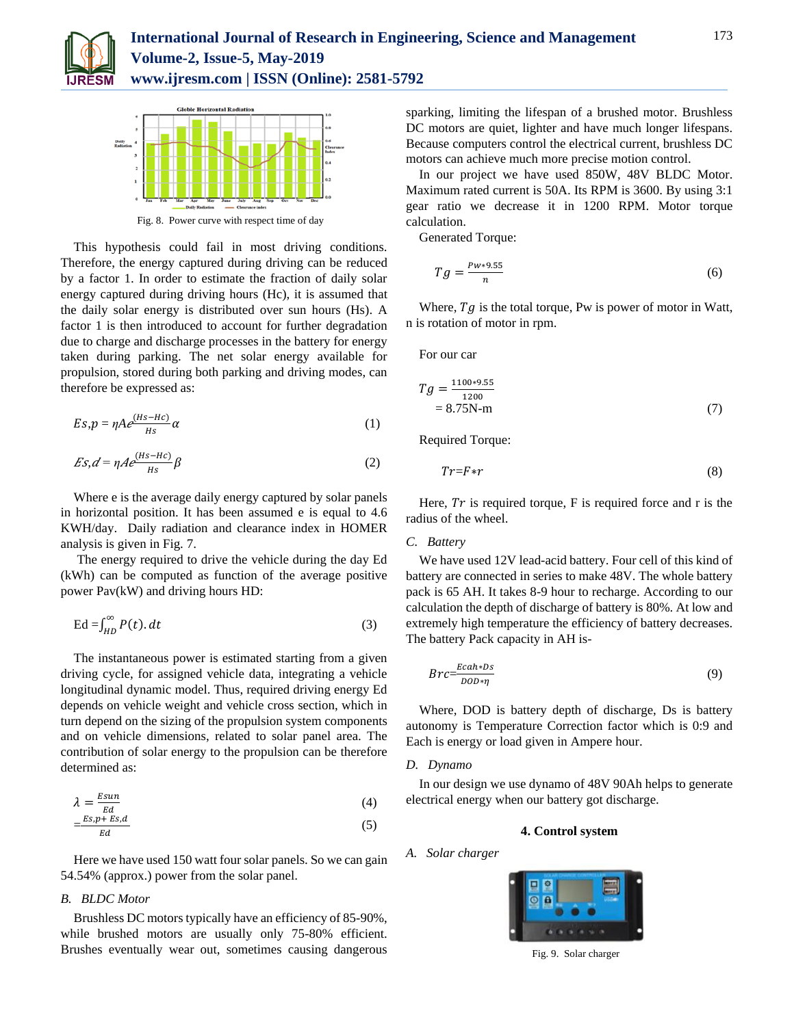



Fig. 8. Power curve with respect time of day

This hypothesis could fail in most driving conditions. Therefore, the energy captured during driving can be reduced by a factor 1. In order to estimate the fraction of daily solar energy captured during driving hours (Hc), it is assumed that the daily solar energy is distributed over sun hours (Hs). A factor 1 is then introduced to account for further degradation due to charge and discharge processes in the battery for energy taken during parking. The net solar energy available for propulsion, stored during both parking and driving modes, can therefore be expressed as:

$$
Es, p = \eta A e^{\frac{(Hs - Hc)}{Hs}} \alpha \tag{1}
$$

$$
Es, d = \eta A e^{\frac{(Hs - Hc)}{Hs}} \beta \tag{2}
$$

Where e is the average daily energy captured by solar panels in horizontal position. It has been assumed e is equal to 4.6 KWH/day. Daily radiation and clearance index in HOMER analysis is given in Fig. 7.

The energy required to drive the vehicle during the day Ed (kWh) can be computed as function of the average positive power Pav(kW) and driving hours HD:

$$
\mathrm{Ed} = \int_{HD}^{\infty} P(t) \, dt \tag{3}
$$

The instantaneous power is estimated starting from a given driving cycle, for assigned vehicle data, integrating a vehicle longitudinal dynamic model. Thus, required driving energy Ed depends on vehicle weight and vehicle cross section, which in turn depend on the sizing of the propulsion system components and on vehicle dimensions, related to solar panel area. The contribution of solar energy to the propulsion can be therefore determined as:

$$
\lambda = \frac{E \sin n}{Ed} \tag{4}
$$

$$
=\frac{Es.p + Es.d}{Ed} \tag{5}
$$

Here we have used 150 watt four solar panels. So we can gain 54.54% (approx.) power from the solar panel.

## *B. BLDC Motor*

Brushless DC motors typically have an efficiency of 85-90%, while brushed motors are usually only 75-80% efficient. Brushes eventually wear out, sometimes causing dangerous

sparking, limiting the lifespan of a brushed motor. Brushless DC motors are quiet, lighter and have much longer lifespans. Because computers control the electrical current, brushless DC motors can achieve much more precise motion control.

In our project we have used 850W, 48V BLDC Motor. Maximum rated current is 50A. Its RPM is 3600. By using 3:1 gear ratio we decrease it in 1200 RPM. Motor torque calculation.

Generated Torque:

$$
Tg = \frac{Pw \ast 9.55}{n} \tag{6}
$$

Where,  $Tg$  is the total torque, Pw is power of motor in Watt, n is rotation of motor in rpm.

For our car

$$
Tg = \frac{1100*9.55}{1200} = 8.75N-m
$$
 (7)

Required Torque:

$$
Tr = F \ast r \tag{8}
$$

Here,  $Tr$  is required torque, F is required force and r is the radius of the wheel.

#### *C. Battery*

We have used 12V lead-acid battery. Four cell of this kind of battery are connected in series to make 48V. The whole battery pack is 65 AH. It takes 8-9 hour to recharge. According to our calculation the depth of discharge of battery is 80%. At low and extremely high temperature the efficiency of battery decreases. The battery Pack capacity in AH is-

$$
Brc = \frac{Ecah * Ds}{DOD * \eta} \tag{9}
$$

Where, DOD is battery depth of discharge, Ds is battery autonomy is Temperature Correction factor which is 0:9 and Each is energy or load given in Ampere hour.

#### *D. Dynamo*

In our design we use dynamo of 48V 90Ah helps to generate electrical energy when our battery got discharge.

## **4. Control system**

*A. Solar charger*



Fig. 9. Solar charger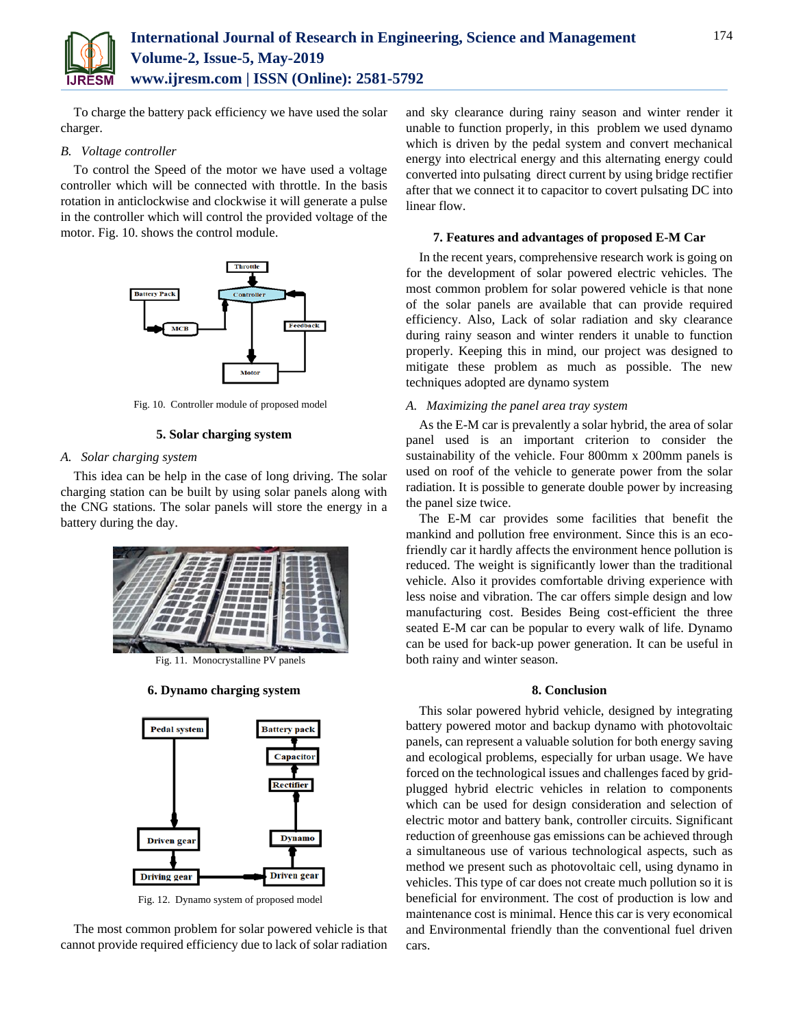

To charge the battery pack efficiency we have used the solar charger.

## *B. Voltage controller*

To control the Speed of the motor we have used a voltage controller which will be connected with throttle. In the basis rotation in anticlockwise and clockwise it will generate a pulse in the controller which will control the provided voltage of the motor. Fig. 10. shows the control module.



Fig. 10. Controller module of proposed model

## **5. Solar charging system**

## *A. Solar charging system*

This idea can be help in the case of long driving. The solar charging station can be built by using solar panels along with the CNG stations. The solar panels will store the energy in a battery during the day.



Fig. 11. Monocrystalline PV panels

## **6. Dynamo charging system**



Fig. 12. Dynamo system of proposed model

The most common problem for solar powered vehicle is that cannot provide required efficiency due to lack of solar radiation and sky clearance during rainy season and winter render it unable to function properly, in this problem we used dynamo which is driven by the pedal system and convert mechanical energy into electrical energy and this alternating energy could converted into pulsating direct current by using bridge rectifier after that we connect it to capacitor to covert pulsating DC into linear flow.

#### **7. Features and advantages of proposed E-M Car**

In the recent years, comprehensive research work is going on for the development of solar powered electric vehicles. The most common problem for solar powered vehicle is that none of the solar panels are available that can provide required efficiency. Also, Lack of solar radiation and sky clearance during rainy season and winter renders it unable to function properly. Keeping this in mind, our project was designed to mitigate these problem as much as possible. The new techniques adopted are dynamo system

## *A. Maximizing the panel area tray system*

As the E-M car is prevalently a solar hybrid, the area of solar panel used is an important criterion to consider the sustainability of the vehicle. Four 800mm x 200mm panels is used on roof of the vehicle to generate power from the solar radiation. It is possible to generate double power by increasing the panel size twice.

The E-M car provides some facilities that benefit the mankind and pollution free environment. Since this is an ecofriendly car it hardly affects the environment hence pollution is reduced. The weight is significantly lower than the traditional vehicle. Also it provides comfortable driving experience with less noise and vibration. The car offers simple design and low manufacturing cost. Besides Being cost-efficient the three seated E-M car can be popular to every walk of life. Dynamo can be used for back-up power generation. It can be useful in both rainy and winter season.

## **8. Conclusion**

This solar powered hybrid vehicle, designed by integrating battery powered motor and backup dynamo with photovoltaic panels, can represent a valuable solution for both energy saving and ecological problems, especially for urban usage. We have forced on the technological issues and challenges faced by gridplugged hybrid electric vehicles in relation to components which can be used for design consideration and selection of electric motor and battery bank, controller circuits. Significant reduction of greenhouse gas emissions can be achieved through a simultaneous use of various technological aspects, such as method we present such as photovoltaic cell, using dynamo in vehicles. This type of car does not create much pollution so it is beneficial for environment. The cost of production is low and maintenance cost is minimal. Hence this car is very economical and Environmental friendly than the conventional fuel driven cars.